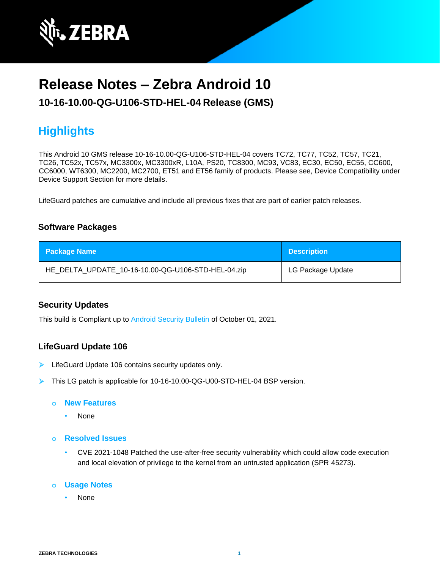

# **Release Notes – Zebra Android 10**

## **10-16-10.00-QG-U106-STD-HEL-04 Release (GMS)**

# **Highlights**

This Android 10 GMS release 10-16-10.00-QG-U106-STD-HEL-04 covers TC72, TC77, TC52, TC57, TC21, TC26, TC52x, TC57x, MC3300x, MC3300xR, L10A, PS20, TC8300, MC93, VC83, EC30, EC50, EC55, CC600, CC6000, WT6300, MC2200, MC2700, ET51 and ET56 family of products. Please see, Device Compatibility under Device Support Section for more details.

LifeGuard patches are cumulative and include all previous fixes that are part of earlier patch releases.

## **Software Packages**

| <b>Package Name</b>                                | <b>Description</b> |
|----------------------------------------------------|--------------------|
| HE_DELTA_UPDATE_10-16-10.00-QG-U106-STD-HEL-04.zip | LG Package Update  |

## **Security Updates**

This build is Compliant up to [Android Security Bulletin](https://source.android.com/security/bulletin/) of October 01, 2021.

## **LifeGuard Update 106**

- ➢ LifeGuard Update 106 contains security updates only.
- ➢ This LG patch is applicable for 10-16-10.00-QG-U00-STD-HEL-04 BSP version.

#### **o New Features**

- None
- **o Resolved Issues**
	- CVE 2021-1048 Patched the use-after-free security vulnerability which could allow code execution and local elevation of privilege to the kernel from an untrusted application (SPR 45273).

### **o Usage Notes**

• None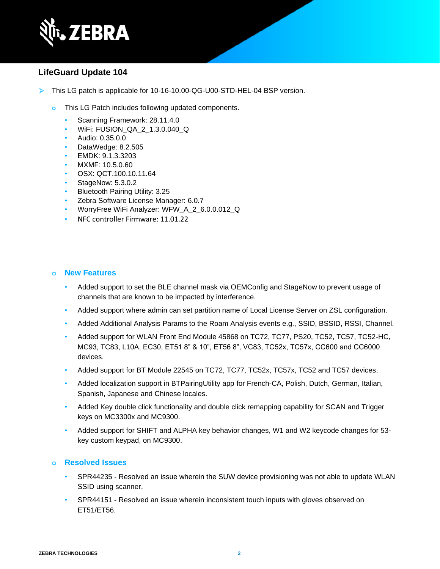

## **LifeGuard Update 104**

- ➢ This LG patch is applicable for 10-16-10.00-QG-U00-STD-HEL-04 BSP version.
	- **o** This LG Patch includes following updated components.
		- Scanning Framework: 28.11.4.0
		- WiFi: FUSION\_QA\_2\_1.3.0.040\_Q
		- Audio: 0.35.0.0
		- DataWedge: 8.2.505
		- EMDK: 9.1.3.3203
		- MXMF: 10.5.0.60
		- OSX: QCT.100.10.11.64
		- StageNow: 5.3.0.2
		- Bluetooth Pairing Utility: 3.25
		- Zebra Software License Manager: 6.0.7
		- WorryFree WiFi Analyzer: WFW\_A\_2\_6.0.0.012\_Q
		- NFC controller Firmware: 11.01.22

#### **o New Features**

- Added support to set the BLE channel mask via OEMConfig and StageNow to prevent usage of channels that are known to be impacted by interference.
- Added support where admin can set partition name of Local License Server on ZSL configuration.
- Added Additional Analysis Params to the Roam Analysis events e.g., SSID, BSSID, RSSI, Channel.
- Added support for WLAN Front End Module 45868 on TC72, TC77, PS20, TC52, TC57, TC52-HC, MC93, TC83, L10A, EC30, ET51 8" & 10", ET56 8", VC83, TC52x, TC57x, CC600 and CC6000 devices.
- Added support for BT Module 22545 on TC72, TC77, TC52x, TC57x, TC52 and TC57 devices.
- Added localization support in BTPairingUtility app for French-CA, Polish, Dutch, German, Italian, Spanish, Japanese and Chinese locales.
- Added Key double click functionality and double click remapping capability for SCAN and Trigger keys on MC3300x and MC9300.
- Added support for SHIFT and ALPHA key behavior changes, W1 and W2 keycode changes for 53 key custom keypad, on MC9300.

- SPR44235 Resolved an issue wherein the SUW device provisioning was not able to update WLAN SSID using scanner.
- SPR44151 Resolved an issue wherein inconsistent touch inputs with gloves observed on ET51/ET56.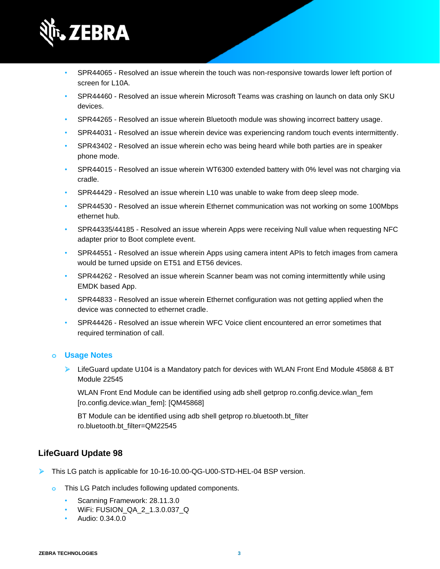

- SPR44065 Resolved an issue wherein the touch was non-responsive towards lower left portion of screen for L10A.
- SPR44460 Resolved an issue wherein Microsoft Teams was crashing on launch on data only SKU devices.
- SPR44265 Resolved an issue wherein Bluetooth module was showing incorrect battery usage.
- SPR44031 Resolved an issue wherein device was experiencing random touch events intermittently.
- SPR43402 Resolved an issue wherein echo was being heard while both parties are in speaker phone mode.
- SPR44015 Resolved an issue wherein WT6300 extended battery with 0% level was not charging via cradle.
- SPR44429 Resolved an issue wherein L10 was unable to wake from deep sleep mode.
- SPR44530 Resolved an issue wherein Ethernet communication was not working on some 100Mbps ethernet hub.
- SPR44335/44185 Resolved an issue wherein Apps were receiving Null value when requesting NFC adapter prior to Boot complete event.
- SPR44551 Resolved an issue wherein Apps using camera intent APIs to fetch images from camera would be turned upside on ET51 and ET56 devices.
- SPR44262 Resolved an issue wherein Scanner beam was not coming intermittently while using EMDK based App.
- SPR44833 Resolved an issue wherein Ethernet configuration was not getting applied when the device was connected to ethernet cradle.
- SPR44426 Resolved an issue wherein WFC Voice client encountered an error sometimes that required termination of call.

 $\triangleright$  LifeGuard update U104 is a Mandatory patch for devices with WLAN Front End Module 45868 & BT Module 22545

WLAN Front End Module can be identified using adb shell getprop ro.config.device.wlan fem [ro.config.device.wlan\_fem]: [QM45868]

BT Module can be identified using adb shell getprop ro.bluetooth.bt\_filter ro.bluetooth.bt\_filter=QM22545

## **LifeGuard Update 98**

- ➢ This LG patch is applicable for 10-16-10.00-QG-U00-STD-HEL-04 BSP version.
	- **o** This LG Patch includes following updated components.
		- Scanning Framework: 28.11.3.0
		- WiFi: FUSION\_QA\_2\_1.3.0.037\_Q
		- Audio: 0.34.0.0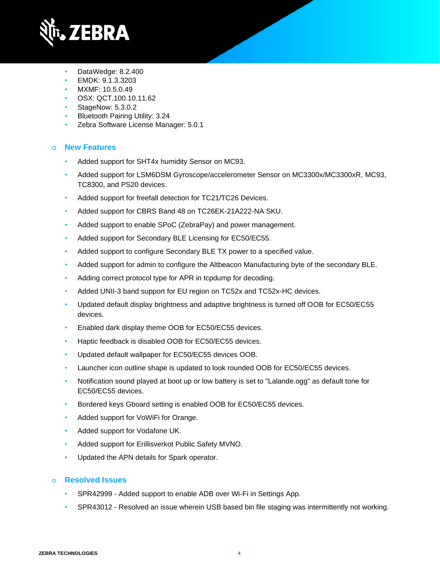

- DataWedge: 8.2.400
- EMDK: 9.1.3.3203
- MXMF: 10.5.0.49
- OSX: QCT.100.10.11.62
- StageNow: 5.3.0.2
- Bluetooth Pairing Utility: 3.24
- Zebra Software License Manager: 5.0.1

## **o New Features**

- Added support for SHT4x humidity Sensor on MC93.
- Added support for LSM6DSM Gyroscope/accelerometer Sensor on MC3300x/MC3300xR, MC93, TC8300, and PS20 devices.
- Added support for freefall detection for TC21/TC26 Devices.
- Added support for CBRS Band 48 on TC26EK-21A222-NA SKU.
- Added support to enable SPoC (ZebraPay) and power management.
- Added support for Secondary BLE Licensing for EC50/EC55.
- Added support to configure Secondary BLE TX power to a specified value.
- Added support for admin to configure the Altbeacon Manufacturing byte of the secondary BLE.
- Adding correct protocol type for APR in tcpdump for decoding.
- Added UNII-3 band support for EU region on TC52x and TC52x-HC devices.
- Updated default display brightness and adaptive brightness is turned off OOB for EC50/EC55 devices.
- Enabled dark display theme OOB for EC50/EC55 devices.
- Haptic feedback is disabled OOB for EC50/EC55 devices.
- Updated default wallpaper for EC50/EC55 devices OOB.
- Launcher icon outline shape is updated to look rounded OOB for EC50/EC55 devices.
- Notification sound played at boot up or low battery is set to "Lalande.ogg" as default tone for EC50/EC55 devices.
- Bordered keys Gboard setting is enabled OOB for EC50/EC55 devices.
- Added support for VoWiFi for Orange.
- Added support for Vodafone UK.
- Added support for Erillisverkot Public Safety MVNO.
- Updated the APN details for Spark operator.

- SPR42999 Added support to enable ADB over Wi-Fi in Settings App.
- SPR43012 Resolved an issue wherein USB based bin file staging was intermittently not working.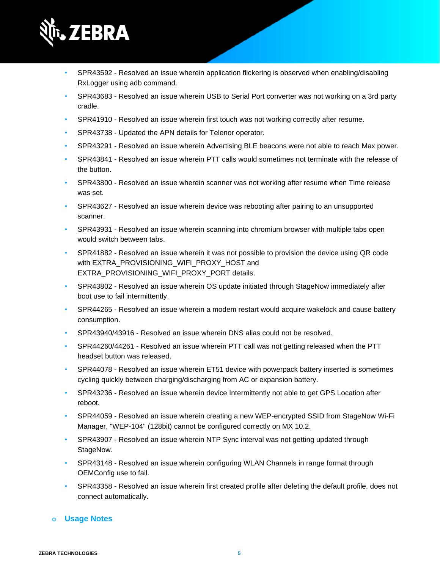

- SPR43592 Resolved an issue wherein application flickering is observed when enabling/disabling RxLogger using adb command.
- SPR43683 Resolved an issue wherein USB to Serial Port converter was not working on a 3rd party cradle.
- SPR41910 Resolved an issue wherein first touch was not working correctly after resume.
- SPR43738 Updated the APN details for Telenor operator.
- SPR43291 Resolved an issue wherein Advertising BLE beacons were not able to reach Max power.
- SPR43841 Resolved an issue wherein PTT calls would sometimes not terminate with the release of the button.
- SPR43800 Resolved an issue wherein scanner was not working after resume when Time release was set.
- SPR43627 Resolved an issue wherein device was rebooting after pairing to an unsupported scanner.
- SPR43931 Resolved an issue wherein scanning into chromium browser with multiple tabs open would switch between tabs.
- SPR41882 Resolved an issue wherein it was not possible to provision the device using QR code with EXTRA\_PROVISIONING\_WIFI\_PROXY\_HOST and EXTRA\_PROVISIONING\_WIFI\_PROXY\_PORT details.
- SPR43802 Resolved an issue wherein OS update initiated through StageNow immediately after boot use to fail intermittently.
- SPR44265 Resolved an issue wherein a modem restart would acquire wakelock and cause battery consumption.
- SPR43940/43916 Resolved an issue wherein DNS alias could not be resolved.
- SPR44260/44261 Resolved an issue wherein PTT call was not getting released when the PTT headset button was released.
- SPR44078 Resolved an issue wherein ET51 device with powerpack battery inserted is sometimes cycling quickly between charging/discharging from AC or expansion battery.
- SPR43236 Resolved an issue wherein device Intermittently not able to get GPS Location after reboot.
- SPR44059 Resolved an issue wherein creating a new WEP-encrypted SSID from StageNow Wi-Fi Manager, "WEP-104" (128bit) cannot be configured correctly on MX 10.2.
- SPR43907 Resolved an issue wherein NTP Sync interval was not getting updated through StageNow.
- SPR43148 Resolved an issue wherein configuring WLAN Channels in range format through OEMConfig use to fail.
- SPR43358 Resolved an issue wherein first created profile after deleting the default profile, does not connect automatically.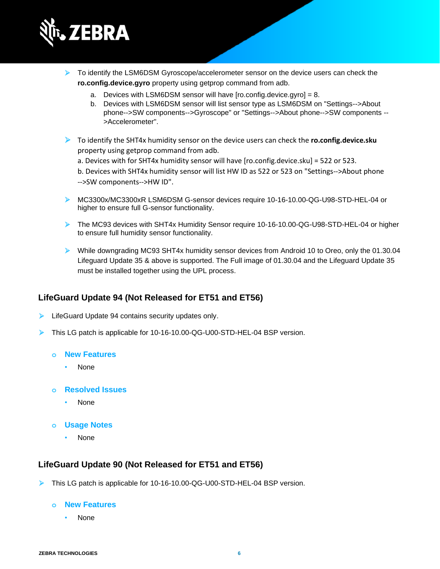

- ➢ To identify the LSM6DSM Gyroscope/accelerometer sensor on the device users can check the **ro.config.device.gyro** property using getprop command from adb.
	- a. Devices with LSM6DSM sensor will have [ro.config.device.gyro] = 8.
	- b. Devices with LSM6DSM sensor will list sensor type as LSM6DSM on "Settings-->About phone-->SW components-->Gyroscope" or "Settings-->About phone-->SW components -- >Accelerometer".
- ➢ To identify the SHT4x humidity sensor on the device users can check the **ro.config.device.sku** property using getprop command from adb.
	- a. Devices with for SHT4x humidity sensor will have [ro.config.device.sku] = 522 or 523.

b. Devices with SHT4x humidity sensor will list HW ID as 522 or 523 on "Settings-->About phone -->SW components-->HW ID".

- ➢ MC3300x/MC3300xR LSM6DSM G-sensor devices require 10-16-10.00-QG-U98-STD-HEL-04 or higher to ensure full G-sensor functionality.
- ➢ The MC93 devices with SHT4x Humidity Sensor require 10-16-10.00-QG-U98-STD-HEL-04 or higher to ensure full humidity sensor functionality.
- ➢ While downgrading MC93 SHT4x humidity sensor devices from Android 10 to Oreo, only the 01.30.04 Lifeguard Update 35 & above is supported. The Full image of 01.30.04 and the Lifeguard Update 35 must be installed together using the UPL process.

## **LifeGuard Update 94 (Not Released for ET51 and ET56)**

- ➢ LifeGuard Update 94 contains security updates only.
- ➢ This LG patch is applicable for 10-16-10.00-QG-U00-STD-HEL-04 BSP version.

## **o New Features**

- None
- **o Resolved Issues**
	- None
- **o Usage Notes**
	- None

## **LifeGuard Update 90 (Not Released for ET51 and ET56)**

➢ This LG patch is applicable for 10-16-10.00-QG-U00-STD-HEL-04 BSP version.

#### **o New Features**

• None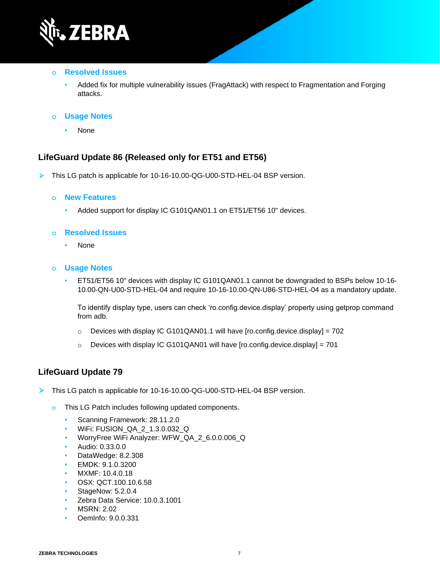

#### **o Resolved Issues**

• Added fix for multiple vulnerability issues (FragAttack) with respect to Fragmentation and Forging attacks.

## **o Usage Notes**

• None

## **LifeGuard Update 86 (Released only for ET51 and ET56)**

➢ This LG patch is applicable for 10-16-10.00-QG-U00-STD-HEL-04 BSP version.

#### **o New Features**

• Added support for display IC G101QAN01.1 on ET51/ET56 10" devices.

### **o Resolved Issues**

• None

#### **o Usage Notes**

• ET51/ET56 10" devices with display IC G101QAN01.1 cannot be downgraded to BSPs below 10-16- 10.00-QN-U00-STD-HEL-04 and require 10-16-10.00-QN-U86-STD-HEL-04 as a mandatory update.

To identify display type, users can check 'ro.config.device.display' property using getprop command from adb.

- $\circ$  Devices with display IC G101QAN01.1 will have [ro.config.device.display] = 702
- $\circ$  Devices with display IC G101QAN01 will have [ro.config.device.display] = 701

## **LifeGuard Update 79**

- ➢ This LG patch is applicable for 10-16-10.00-QG-U00-STD-HEL-04 BSP version.
	- **o** This LG Patch includes following updated components.
		- Scanning Framework: 28.11.2.0
		- WiFi: FUSION\_QA\_2\_1.3.0.032\_Q
		- WorryFree WiFi Analyzer: WFW\_QA\_2\_6.0.0.006\_Q
		- Audio: 0.33.0.0
		- DataWedge: 8.2.308
		- EMDK: 9.1.0.3200
		- MXMF: 10.4.0.18
		- OSX: QCT.100.10.6.58
		- StageNow: 5.2.0.4
		- Zebra Data Service: 10.0.3.1001
		- MSRN: 2.02
		- OemInfo: 9.0.0.331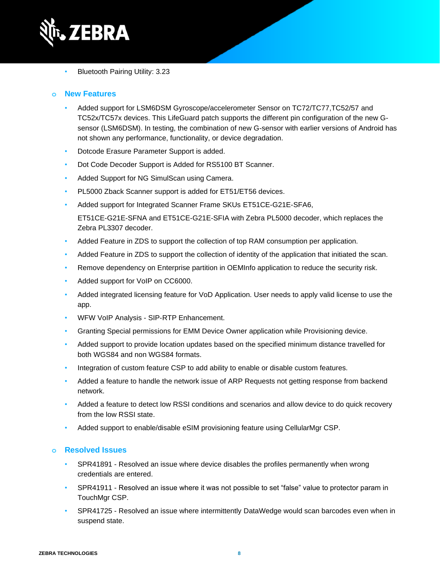

• Bluetooth Pairing Utility: 3.23

### **o New Features**

- Added support for LSM6DSM Gyroscope/accelerometer Sensor on TC72/TC77,TC52/57 and TC52x/TC57x devices. This LifeGuard patch supports the different pin configuration of the new Gsensor (LSM6DSM). In testing, the combination of new G-sensor with earlier versions of Android has not shown any performance, functionality, or device degradation.
- Dotcode Erasure Parameter Support is added.
- Dot Code Decoder Support is Added for RS5100 BT Scanner.
- Added Support for NG SimulScan using Camera.
- PL5000 Zback Scanner support is added for ET51/ET56 devices.
- Added support for Integrated Scanner Frame SKUs ET51CE-G21E-SFA6, ET51CE-G21E-SFNA and ET51CE-G21E-SFIA with Zebra PL5000 decoder, which replaces the Zebra PL3307 decoder.
- Added Feature in ZDS to support the collection of top RAM consumption per application.
- Added Feature in ZDS to support the collection of identity of the application that initiated the scan.
- Remove dependency on Enterprise partition in OEMInfo application to reduce the security risk.
- Added support for VoIP on CC6000.
- Added integrated licensing feature for VoD Application. User needs to apply valid license to use the app.
- WFW VoIP Analysis SIP-RTP Enhancement.
- Granting Special permissions for EMM Device Owner application while Provisioning device.
- Added support to provide location updates based on the specified minimum distance travelled for both WGS84 and non WGS84 formats.
- Integration of custom feature CSP to add ability to enable or disable custom features.
- Added a feature to handle the network issue of ARP Requests not getting response from backend network.
- Added a feature to detect low RSSI conditions and scenarios and allow device to do quick recovery from the low RSSI state.
- Added support to enable/disable eSIM provisioning feature using CellularMgr CSP.

- SPR41891 Resolved an issue where device disables the profiles permanently when wrong credentials are entered.
- SPR41911 Resolved an issue where it was not possible to set "false" value to protector param in TouchMgr CSP.
- SPR41725 Resolved an issue where intermittently DataWedge would scan barcodes even when in suspend state.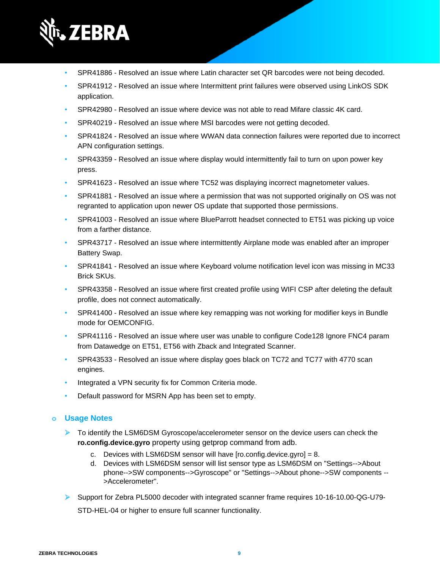

- SPR41886 Resolved an issue where Latin character set QR barcodes were not being decoded.
- SPR41912 Resolved an issue where Intermittent print failures were observed using LinkOS SDK application.
- SPR42980 Resolved an issue where device was not able to read Mifare classic 4K card.
- SPR40219 Resolved an issue where MSI barcodes were not getting decoded.
- SPR41824 Resolved an issue where WWAN data connection failures were reported due to incorrect APN configuration settings.
- SPR43359 Resolved an issue where display would intermittently fail to turn on upon power key press.
- SPR41623 Resolved an issue where TC52 was displaying incorrect magnetometer values.
- SPR41881 Resolved an issue where a permission that was not supported originally on OS was not regranted to application upon newer OS update that supported those permissions.
- SPR41003 Resolved an issue where BlueParrott headset connected to ET51 was picking up voice from a farther distance.
- SPR43717 Resolved an issue where intermittently Airplane mode was enabled after an improper Battery Swap.
- SPR41841 Resolved an issue where Keyboard volume notification level icon was missing in MC33 Brick SKUs.
- SPR43358 Resolved an issue where first created profile using WIFI CSP after deleting the default profile, does not connect automatically.
- SPR41400 Resolved an issue where key remapping was not working for modifier keys in Bundle mode for OEMCONFIG.
- SPR41116 Resolved an issue where user was unable to configure Code128 Ignore FNC4 param from Datawedge on ET51, ET56 with Zback and Integrated Scanner.
- SPR43533 Resolved an issue where display goes black on TC72 and TC77 with 4770 scan engines.
- Integrated a VPN security fix for Common Criteria mode.
- Default password for MSRN App has been set to empty.

- ➢ To identify the LSM6DSM Gyroscope/accelerometer sensor on the device users can check the **ro.config.device.gyro** property using getprop command from adb.
	- c. Devices with LSM6DSM sensor will have [ro.config.device.gyro] = 8.
	- d. Devices with LSM6DSM sensor will list sensor type as LSM6DSM on "Settings-->About phone-->SW components-->Gyroscope" or "Settings-->About phone-->SW components -- >Accelerometer".
- ➢ Support for Zebra PL5000 decoder with integrated scanner frame requires 10-16-10.00-QG-U79- STD-HEL-04 or higher to ensure full scanner functionality.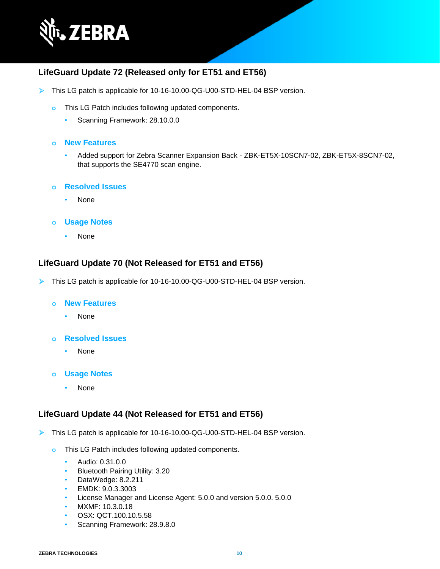

## **LifeGuard Update 72 (Released only for ET51 and ET56)**

- ➢ This LG patch is applicable for 10-16-10.00-QG-U00-STD-HEL-04 BSP version.
	- **o** This LG Patch includes following updated components.
		- Scanning Framework: 28.10.0.0

#### **o New Features**

- Added support for Zebra Scanner Expansion Back ZBK-ET5X-10SCN7-02, ZBK-ET5X-8SCN7-02, that supports the SE4770 scan engine.
- **o Resolved Issues**
	- None
- **o Usage Notes**
	- None

## **LifeGuard Update 70 (Not Released for ET51 and ET56)**

➢ This LG patch is applicable for 10-16-10.00-QG-U00-STD-HEL-04 BSP version.

#### **o New Features**

- None
- **o Resolved Issues**
	- None
- **o Usage Notes**
	- None

## **LifeGuard Update 44 (Not Released for ET51 and ET56)**

- ➢ This LG patch is applicable for 10-16-10.00-QG-U00-STD-HEL-04 BSP version.
	- **o** This LG Patch includes following updated components.
		- Audio: 0.31.0.0
		- Bluetooth Pairing Utility: 3.20
		- DataWedge: 8.2.211
		- EMDK: 9.0.3.3003
		- License Manager and License Agent: 5.0.0 and version 5.0.0. 5.0.0
		- MXMF: 10.3.0.18
		- OSX: QCT.100.10.5.58
		- Scanning Framework: 28.9.8.0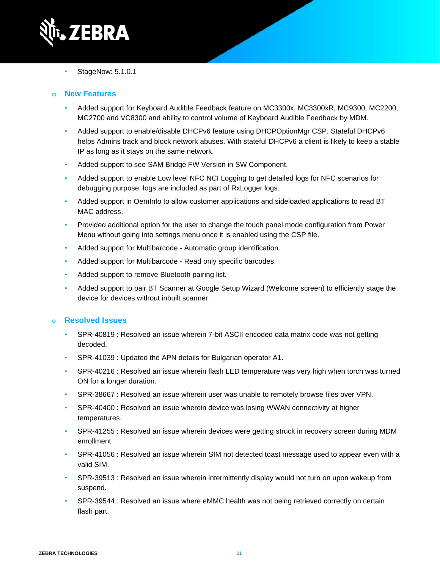

• StageNow: 5.1.0.1

## **o New Features**

- Added support for Keyboard Audible Feedback feature on MC3300x, MC3300xR, MC9300, MC2200, MC2700 and VC8300 and ability to control volume of Keyboard Audible Feedback by MDM.
- Added support to enable/disable DHCPv6 feature using DHCPOptionMgr CSP. Stateful DHCPv6 helps Admins track and block network abuses. With stateful DHCPv6 a client is likely to keep a stable IP as long as it stays on the same network.
- Added support to see SAM Bridge FW Version in SW Component.
- Added support to enable Low level NFC NCI Logging to get detailed logs for NFC scenarios for debugging purpose, logs are included as part of RxLogger logs.
- Added support in OemInfo to allow customer applications and sideloaded applications to read BT MAC address.
- Provided additional option for the user to change the touch panel mode configuration from Power Menu without going into settings menu once it is enabled using the CSP file.
- Added support for Multibarcode Automatic group identification.
- Added support for Multibarcode Read only specific barcodes.
- Added support to remove Bluetooth pairing list.
- Added support to pair BT Scanner at Google Setup Wizard (Welcome screen) to efficiently stage the device for devices without inbuilt scanner.

- SPR-40819 : Resolved an issue wherein 7-bit ASCII encoded data matrix code was not getting decoded.
- SPR-41039 : Updated the APN details for Bulgarian operator A1.
- SPR-40216 : Resolved an issue wherein flash LED temperature was very high when torch was turned ON for a longer duration.
- SPR-38667 : Resolved an issue wherein user was unable to remotely browse files over VPN.
- SPR-40400 : Resolved an issue wherein device was losing WWAN connectivity at higher temperatures.
- SPR-41255 : Resolved an issue wherein devices were getting struck in recovery screen during MDM enrollment.
- SPR-41056 : Resolved an issue wherein SIM not detected toast message used to appear even with a valid SIM.
- SPR-39513 : Resolved an issue wherein intermittently display would not turn on upon wakeup from suspend.
- SPR-39544 : Resolved an issue where eMMC health was not being retrieved correctly on certain flash part.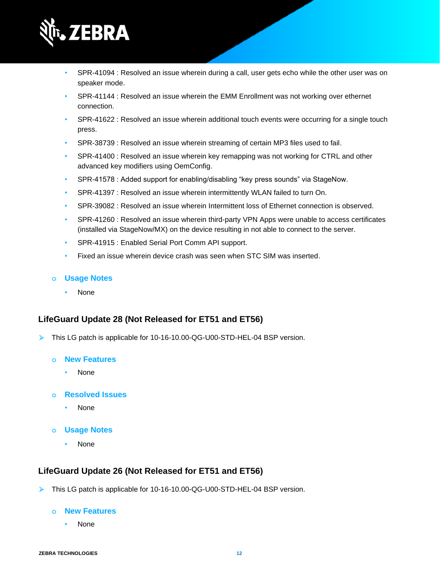

- SPR-41094 : Resolved an issue wherein during a call, user gets echo while the other user was on speaker mode.
- SPR-41144 : Resolved an issue wherein the EMM Enrollment was not working over ethernet connection.
- SPR-41622 : Resolved an issue wherein additional touch events were occurring for a single touch press.
- SPR-38739 : Resolved an issue wherein streaming of certain MP3 files used to fail.
- SPR-41400 : Resolved an issue wherein key remapping was not working for CTRL and other advanced key modifiers using OemConfig.
- SPR-41578 : Added support for enabling/disabling "key press sounds" via StageNow.
- SPR-41397 : Resolved an issue wherein intermittently WLAN failed to turn On.
- SPR-39082 : Resolved an issue wherein Intermittent loss of Ethernet connection is observed.
- SPR-41260 : Resolved an issue wherein third-party VPN Apps were unable to access certificates (installed via StageNow/MX) on the device resulting in not able to connect to the server.
- SPR-41915 : Enabled Serial Port Comm API support.
- Fixed an issue wherein device crash was seen when STC SIM was inserted.

• None

## **LifeGuard Update 28 (Not Released for ET51 and ET56)**

- ➢ This LG patch is applicable for 10-16-10.00-QG-U00-STD-HEL-04 BSP version.
	- **o New Features**
		- None
	- **o Resolved Issues**
		- None
	- **o Usage Notes**
		- None

## **LifeGuard Update 26 (Not Released for ET51 and ET56)**

➢ This LG patch is applicable for 10-16-10.00-QG-U00-STD-HEL-04 BSP version.

#### **o New Features**

• None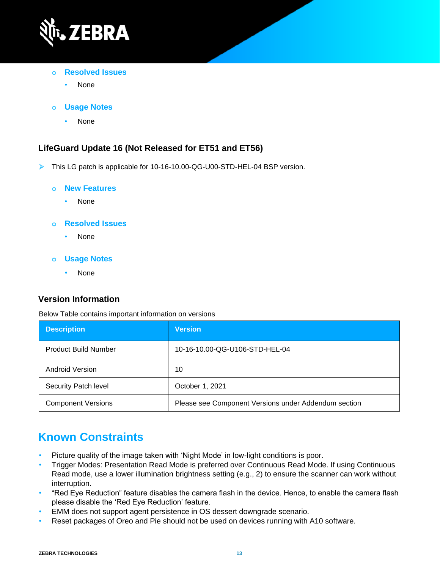

- **o Resolved Issues**
	- None
- **o Usage Notes**
	- None

## **LifeGuard Update 16 (Not Released for ET51 and ET56)**

➢ This LG patch is applicable for 10-16-10.00-QG-U00-STD-HEL-04 BSP version.

#### **o New Features**

• None

### **o Resolved Issues**

- None
- **o Usage Notes**
	- None

## **Version Information**

Below Table contains important information on versions

| <b>Description</b>          | <b>Version</b>                                       |
|-----------------------------|------------------------------------------------------|
| <b>Product Build Number</b> | 10-16-10.00-QG-U106-STD-HEL-04                       |
| Android Version             | 10                                                   |
| Security Patch level        | October 1, 2021                                      |
| <b>Component Versions</b>   | Please see Component Versions under Addendum section |

# **Known Constraints**

- Picture quality of the image taken with 'Night Mode' in low-light conditions is poor.
- Trigger Modes: Presentation Read Mode is preferred over Continuous Read Mode. If using Continuous Read mode, use a lower illumination brightness setting (e.g., 2) to ensure the scanner can work without interruption.
- "Red Eye Reduction" feature disables the camera flash in the device. Hence, to enable the camera flash please disable the 'Red Eye Reduction' feature.
- EMM does not support agent persistence in OS dessert downgrade scenario.
- Reset packages of Oreo and Pie should not be used on devices running with A10 software.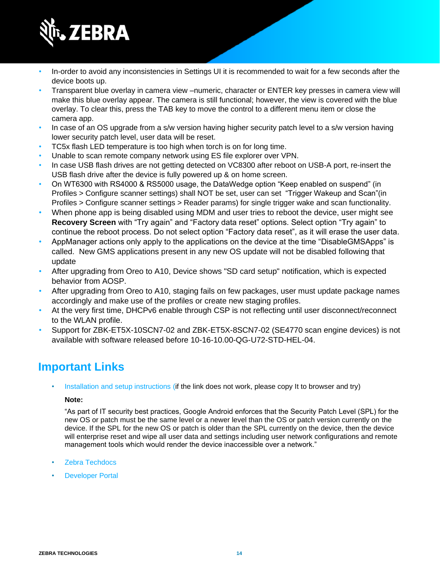

- In-order to avoid any inconsistencies in Settings UI it is recommended to wait for a few seconds after the device boots up.
- Transparent blue overlay in camera view –numeric, character or ENTER key presses in camera view will make this blue overlay appear. The camera is still functional; however, the view is covered with the blue overlay. To clear this, press the TAB key to move the control to a different menu item or close the camera app.
- In case of an OS upgrade from a s/w version having higher security patch level to a s/w version having lower security patch level, user data will be reset.
- TC5x flash LED temperature is too high when torch is on for long time.
- Unable to scan remote company network using ES file explorer over VPN.
- In case USB flash drives are not getting detected on VC8300 after reboot on USB-A port, re-insert the USB flash drive after the device is fully powered up & on home screen.
- On WT6300 with RS4000 & RS5000 usage, the DataWedge option "Keep enabled on suspend" (in Profiles > Configure scanner settings) shall NOT be set, user can set "Trigger Wakeup and Scan"(in Profiles > Configure scanner settings > Reader params) for single trigger wake and scan functionality.
- When phone app is being disabled using MDM and user tries to reboot the device, user might see **Recovery Screen** with "Try again" and "Factory data reset" options. Select option "Try again" to continue the reboot process. Do not select option "Factory data reset", as it will erase the user data.
- AppManager actions only apply to the applications on the device at the time "DisableGMSApps" is called. New GMS applications present in any new OS update will not be disabled following that update
- After upgrading from Oreo to A10, Device shows "SD card setup" notification, which is expected behavior from AOSP.
- After upgrading from Oreo to A10, staging fails on few packages, user must update package names accordingly and make use of the profiles or create new staging profiles.
- At the very first time, DHCPv6 enable through CSP is not reflecting until user disconnect/reconnect to the WLAN profile.
- Support for ZBK-ET5X-10SCN7-02 and ZBK-ET5X-8SCN7-02 (SE4770 scan engine devices) is not available with software released before 10-16-10.00-QG-U72-STD-HEL-04.

# **Important Links**

[Installation and setup instructions](https://www.zebra.com/content/dam/zebra_new_ia/en-us/software/operating-system/helios/a10-os-update-instructions.pdf) (if the link does not work, please copy It to browser and try)

### **Note:**

"As part of IT security best practices, Google Android enforces that the Security Patch Level (SPL) for the new OS or patch must be the same level or a newer level than the OS or patch version currently on the device. If the SPL for the new OS or patch is older than the SPL currently on the device, then the device will enterprise reset and wipe all user data and settings including user network configurations and remote management tools which would render the device inaccessible over a network."

- [Zebra Techdocs](http://techdocs.zebra.com/)
- **[Developer Portal](http://developer.zebra.com/)**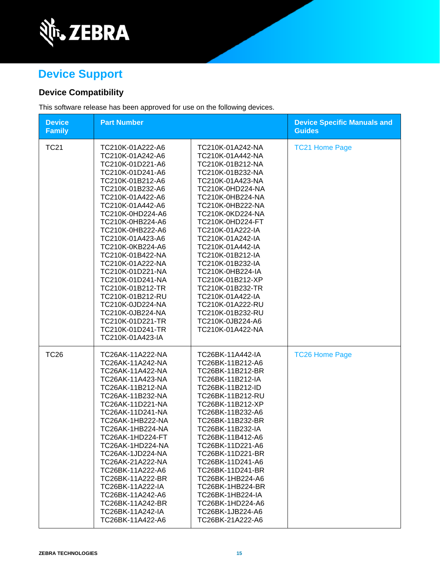

# **Device Support**

## **Device Compatibility**

This software release has been approved for use on the following devices.

| <b>Device</b><br><b>Family</b> | <b>Part Number</b>                                                                                                                                                                                                                                                                                                                                                                                                                                                                           |                                                                                                                                                                                                                                                                                                                                                                                                                                                                          | <b>Device Specific Manuals and</b><br><b>Guides</b> |
|--------------------------------|----------------------------------------------------------------------------------------------------------------------------------------------------------------------------------------------------------------------------------------------------------------------------------------------------------------------------------------------------------------------------------------------------------------------------------------------------------------------------------------------|--------------------------------------------------------------------------------------------------------------------------------------------------------------------------------------------------------------------------------------------------------------------------------------------------------------------------------------------------------------------------------------------------------------------------------------------------------------------------|-----------------------------------------------------|
| <b>TC21</b>                    | TC210K-01A222-A6<br>TC210K-01A242-A6<br>TC210K-01D221-A6<br>TC210K-01D241-A6<br>TC210K-01B212-A6<br>TC210K-01B232-A6<br>TC210K-01A422-A6<br>TC210K-01A442-A6<br>TC210K-0HD224-A6<br>TC210K-0HB224-A6<br>TC210K-0HB222-A6<br>TC210K-01A423-A6<br>TC210K-0KB224-A6<br>TC210K-01B422-NA<br>TC210K-01A222-NA<br>TC210K-01D221-NA<br>TC210K-01D241-NA<br>TC210K-01B212-TR<br>TC210K-01B212-RU<br>TC210K-0JD224-NA<br>TC210K-0JB224-NA<br>TC210K-01D221-TR<br>TC210K-01D241-TR<br>TC210K-01A423-IA | TC210K-01A242-NA<br>TC210K-01A442-NA<br>TC210K-01B212-NA<br>TC210K-01B232-NA<br>TC210K-01A423-NA<br>TC210K-0HD224-NA<br>TC210K-0HB224-NA<br>TC210K-0HB222-NA<br>TC210K-0KD224-NA<br>TC210K-0HD224-FT<br>TC210K-01A222-IA<br>TC210K-01A242-IA<br>TC210K-01A442-IA<br>TC210K-01B212-IA<br>TC210K-01B232-IA<br>TC210K-0HB224-IA<br>TC210K-01B212-XP<br>TC210K-01B232-TR<br>TC210K-01A422-IA<br>TC210K-01A222-RU<br>TC210K-01B232-RU<br>TC210K-0JB224-A6<br>TC210K-01A422-NA | <b>TC21 Home Page</b>                               |
| <b>TC26</b>                    | TC26AK-11A222-NA<br>TC26AK-11A242-NA<br>TC26AK-11A422-NA<br>TC26AK-11A423-NA<br>TC26AK-11B212-NA<br>TC26AK-11B232-NA<br>TC26AK-11D221-NA<br>TC26AK-11D241-NA<br>TC26AK-1HB222-NA<br>TC26AK-1HB224-NA<br>TC26AK-1HD224-FT<br>TC26AK-1HD224-NA<br>TC26AK-1JD224-NA<br>TC26AK-21A222-NA<br>TC26BK-11A222-A6<br>TC26BK-11A222-BR<br>TC26BK-11A222-IA<br>TC26BK-11A242-A6<br>TC26BK-11A242-BR<br>TC26BK-11A242-IA<br>TC26BK-11A422-A6                                                             | TC26BK-11A442-IA<br>TC26BK-11B212-A6<br>TC26BK-11B212-BR<br>TC26BK-11B212-IA<br>TC26BK-11B212-ID<br>TC26BK-11B212-RU<br>TC26BK-11B212-XP<br>TC26BK-11B232-A6<br>TC26BK-11B232-BR<br>TC26BK-11B232-IA<br>TC26BK-11B412-A6<br>TC26BK-11D221-A6<br>TC26BK-11D221-BR<br>TC26BK-11D241-A6<br>TC26BK-11D241-BR<br>TC26BK-1HB224-A6<br>TC26BK-1HB224-BR<br>TC26BK-1HB224-IA<br>TC26BK-1HD224-A6<br>TC26BK-1JB224-A6<br>TC26BK-21A222-A6                                         | <b>TC26 Home Page</b>                               |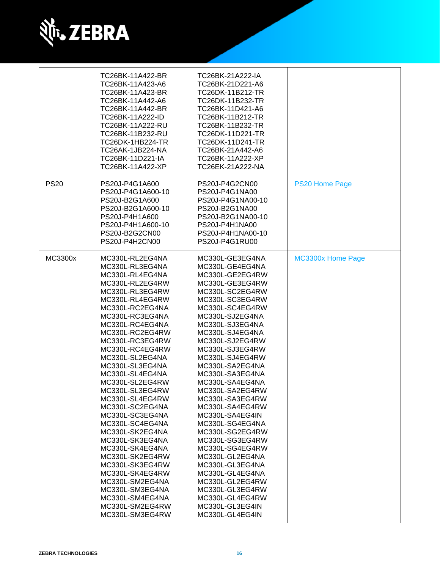

|             | TC26BK-11A422-BR  | TC26BK-21A222-IA  |                   |
|-------------|-------------------|-------------------|-------------------|
|             | TC26BK-11A423-A6  | TC26BK-21D221-A6  |                   |
|             | TC26BK-11A423-BR  | TC26DK-11B212-TR  |                   |
|             | TC26BK-11A442-A6  | TC26DK-11B232-TR  |                   |
|             | TC26BK-11A442-BR  | TC26BK-11D421-A6  |                   |
|             | TC26BK-11A222-ID  | TC26BK-11B212-TR  |                   |
|             | TC26BK-11A222-RU  | TC26BK-11B232-TR  |                   |
|             | TC26BK-11B232-RU  | TC26DK-11D221-TR  |                   |
|             | TC26DK-1HB224-TR  | TC26DK-11D241-TR  |                   |
|             | TC26AK-1JB224-NA  | TC26BK-21A442-A6  |                   |
|             | TC26BK-11D221-IA  | TC26BK-11A222-XP  |                   |
|             | TC26BK-11A422-XP  | TC26EK-21A222-NA  |                   |
|             |                   |                   |                   |
| <b>PS20</b> | PS20J-P4G1A600    | PS20J-P4G2CN00    | PS20 Home Page    |
|             | PS20J-P4G1A600-10 | PS20J-P4G1NA00    |                   |
|             | PS20J-B2G1A600    | PS20J-P4G1NA00-10 |                   |
|             | PS20J-B2G1A600-10 | PS20J-B2G1NA00    |                   |
|             | PS20J-P4H1A600    | PS20J-B2G1NA00-10 |                   |
|             | PS20J-P4H1A600-10 | PS20J-P4H1NA00    |                   |
|             | PS20J-B2G2CN00    | PS20J-P4H1NA00-10 |                   |
|             | PS20J-P4H2CN00    | PS20J-P4G1RU00    |                   |
|             |                   |                   |                   |
| MC3300x     | MC330L-RL2EG4NA   | MC330L-GE3EG4NA   | MC3300x Home Page |
|             | MC330L-RL3EG4NA   | MC330L-GE4EG4NA   |                   |
|             | MC330L-RL4EG4NA   | MC330L-GE2EG4RW   |                   |
|             | MC330L-RL2EG4RW   | MC330L-GE3EG4RW   |                   |
|             | MC330L-RL3EG4RW   | MC330L-SC2EG4RW   |                   |
|             | MC330L-RL4EG4RW   | MC330L-SC3EG4RW   |                   |
|             | MC330L-RC2EG4NA   | MC330L-SC4EG4RW   |                   |
|             | MC330L-RC3EG4NA   | MC330L-SJ2EG4NA   |                   |
|             | MC330L-RC4EG4NA   | MC330L-SJ3EG4NA   |                   |
|             | MC330L-RC2EG4RW   | MC330L-SJ4EG4NA   |                   |
|             | MC330L-RC3EG4RW   | MC330L-SJ2EG4RW   |                   |
|             | MC330L-RC4EG4RW   | MC330L-SJ3EG4RW   |                   |
|             | MC330L-SL2EG4NA   | MC330L-SJ4EG4RW   |                   |
|             | MC330L-SL3EG4NA   | MC330L-SA2EG4NA   |                   |
|             | MC330L-SL4EG4NA   | MC330L-SA3EG4NA   |                   |
|             | MC330L-SL2EG4RW   | MC330L-SA4EG4NA   |                   |
|             | MC330L-SL3EG4RW   | MC330L-SA2EG4RW   |                   |
|             | MC330L-SL4EG4RW   | MC330L-SA3EG4RW   |                   |
|             | MC330L-SC2EG4NA   | MC330L-SA4EG4RW   |                   |
|             | MC330L-SC3EG4NA   | MC330L-SA4EG4IN   |                   |
|             | MC330L-SC4EG4NA   | MC330L-SG4EG4NA   |                   |
|             | MC330L-SK2EG4NA   | MC330L-SG2EG4RW   |                   |
|             | MC330L-SK3EG4NA   | MC330L-SG3EG4RW   |                   |
|             | MC330L-SK4EG4NA   | MC330L-SG4EG4RW   |                   |
|             | MC330L-SK2EG4RW   | MC330L-GL2EG4NA   |                   |
|             | MC330L-SK3EG4RW   | MC330L-GL3EG4NA   |                   |
|             | MC330L-SK4EG4RW   | MC330L-GL4EG4NA   |                   |
|             | MC330L-SM2EG4NA   | MC330L-GL2EG4RW   |                   |
|             | MC330L-SM3EG4NA   | MC330L-GL3EG4RW   |                   |
|             | MC330L-SM4EG4NA   | MC330L-GL4EG4RW   |                   |
|             | MC330L-SM2EG4RW   | MC330L-GL3EG4IN   |                   |
|             | MC330L-SM3EG4RW   | MC330L-GL4EG4IN   |                   |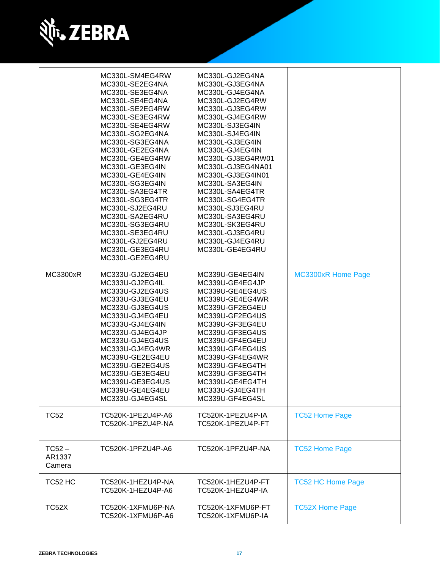

|                              | MC330L-SM4EG4RW<br>MC330L-SE2EG4NA<br>MC330L-SE3EG4NA<br>MC330L-SE4EG4NA<br>MC330L-SE2EG4RW<br>MC330L-SE3EG4RW<br>MC330L-SE4EG4RW<br>MC330L-SG2EG4NA<br>MC330L-SG3EG4NA<br>MC330L-GE2EG4NA<br>MC330L-GE4EG4RW<br>MC330L-GE3EG4IN<br>MC330L-GE4EG4IN<br>MC330L-SG3EG4IN<br>MC330L-SA3EG4TR<br>MC330L-SG3EG4TR<br>MC330L-SJ2EG4RU<br>MC330L-SA2EG4RU<br>MC330L-SG3EG4RU<br>MC330L-SE3EG4RU<br>MC330L-GJ2EG4RU<br>MC330L-GE3EG4RU<br>MC330L-GE2EG4RU | MC330L-GJ2EG4NA<br>MC330L-GJ3EG4NA<br>MC330L-GJ4EG4NA<br>MC330L-GJ2EG4RW<br>MC330L-GJ3EG4RW<br>MC330L-GJ4EG4RW<br>MC330L-SJ3EG4IN<br>MC330L-SJ4EG4IN<br>MC330L-GJ3EG4IN<br>MC330L-GJ4EG4IN<br>MC330L-GJ3EG4RW01<br>MC330L-GJ3EG4NA01<br>MC330L-GJ3EG4IN01<br>MC330L-SA3EG4IN<br>MC330L-SA4EG4TR<br>MC330L-SG4EG4TR<br>MC330L-SJ3EG4RU<br>MC330L-SA3EG4RU<br>MC330L-SK3EG4RU<br>MC330L-GJ3EG4RU<br>MC330L-GJ4EG4RU<br>MC330L-GE4EG4RU |                           |
|------------------------------|---------------------------------------------------------------------------------------------------------------------------------------------------------------------------------------------------------------------------------------------------------------------------------------------------------------------------------------------------------------------------------------------------------------------------------------------------|--------------------------------------------------------------------------------------------------------------------------------------------------------------------------------------------------------------------------------------------------------------------------------------------------------------------------------------------------------------------------------------------------------------------------------------|---------------------------|
| <b>MC3300xR</b>              | MC333U-GJ2EG4EU<br>MC333U-GJ2EG4IL<br>MC333U-GJ2EG4US<br>MC333U-GJ3EG4EU<br>MC333U-GJ3EG4US<br>MC333U-GJ4EG4EU<br>MC333U-GJ4EG4IN<br>MC333U-GJ4EG4JP<br>MC333U-GJ4EG4US<br>MC333U-GJ4EG4WR<br>MC339U-GE2EG4EU<br>MC339U-GE2EG4US<br>MC339U-GE3EG4EU<br>MC339U-GE3EG4US<br>MC339U-GE4EG4EU<br>MC333U-GJ4EG4SL                                                                                                                                      | MC339U-GE4EG4IN<br>MC339U-GE4EG4JP<br>MC339U-GE4EG4US<br>MC339U-GE4EG4WR<br>MC339U-GF2EG4EU<br>MC339U-GF2EG4US<br>MC339U-GF3EG4EU<br>MC339U-GF3EG4US<br>MC339U-GF4EG4EU<br>MC339U-GF4EG4US<br>MC339U-GF4EG4WR<br>MC339U-GF4EG4TH<br>MC339U-GF3EG4TH<br>MC339U-GE4EG4TH<br>MC333U-GJ4EG4TH<br>MC339U-GF4EG4SL                                                                                                                         | <b>MC3300xR Home Page</b> |
| <b>TC52</b>                  | TC520K-1PEZU4P-A6<br>TC520K-1PEZU4P-NA                                                                                                                                                                                                                                                                                                                                                                                                            | TC520K-1PEZU4P-IA<br>TC520K-1PEZU4P-FT                                                                                                                                                                                                                                                                                                                                                                                               | <b>TC52 Home Page</b>     |
| $TC52 -$<br>AR1337<br>Camera | TC520K-1PFZU4P-A6                                                                                                                                                                                                                                                                                                                                                                                                                                 | TC520K-1PFZU4P-NA                                                                                                                                                                                                                                                                                                                                                                                                                    | <b>TC52 Home Page</b>     |
| TC52 HC                      | TC520K-1HEZU4P-NA<br>TC520K-1HEZU4P-A6                                                                                                                                                                                                                                                                                                                                                                                                            | TC520K-1HEZU4P-FT<br>TC520K-1HEZU4P-IA                                                                                                                                                                                                                                                                                                                                                                                               | <b>TC52 HC Home Page</b>  |
| TC52X                        | TC520K-1XFMU6P-NA<br>TC520K-1XFMU6P-A6                                                                                                                                                                                                                                                                                                                                                                                                            | TC520K-1XFMU6P-FT<br>TC520K-1XFMU6P-IA                                                                                                                                                                                                                                                                                                                                                                                               | <b>TC52X Home Page</b>    |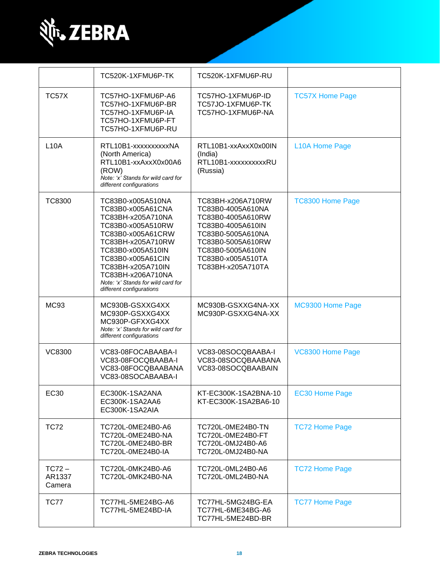

|                              | TC520K-1XFMU6P-TK                                                                                                                                                                                                                                                                | TC520K-1XFMU6P-RU                                                                                                                                                                         |                         |
|------------------------------|----------------------------------------------------------------------------------------------------------------------------------------------------------------------------------------------------------------------------------------------------------------------------------|-------------------------------------------------------------------------------------------------------------------------------------------------------------------------------------------|-------------------------|
| TC57X                        | TC57HO-1XFMU6P-A6<br>TC57HO-1XFMU6P-BR<br>TC57HO-1XFMU6P-IA<br>TC57HO-1XFMU6P-FT<br>TC57HO-1XFMU6P-RU                                                                                                                                                                            | TC57HO-1XFMU6P-ID<br>TC57JO-1XFMU6P-TK<br>TC57HO-1XFMU6P-NA                                                                                                                               | <b>TC57X Home Page</b>  |
| L10A                         | RTL10B1-xxxxxxxxxxNA<br>(North America)<br>RTL10B1-xxAxxX0x00A6<br>(ROW)<br>Note: 'x' Stands for wild card for<br>different configurations                                                                                                                                       | RTL10B1-xxAxxX0x00IN<br>(India)<br>RTL10B1-xxxxxxxxxRU<br>(Russia)                                                                                                                        | L10A Home Page          |
| <b>TC8300</b>                | TC83B0-x005A510NA<br>TC83B0-x005A61CNA<br>TC83BH-x205A710NA<br>TC83B0-x005A510RW<br>TC83B0-x005A61CRW<br>TC83BH-x205A710RW<br>TC83B0-x005A510IN<br>TC83B0-x005A61CIN<br>TC83BH-x205A710IN<br>TC83BH-x206A710NA<br>Note: 'x' Stands for wild card for<br>different configurations | TC83BH-x206A710RW<br>TC83B0-4005A610NA<br>TC83B0-4005A610RW<br>TC83B0-4005A610IN<br>TC83B0-5005A610NA<br>TC83B0-5005A610RW<br>TC83B0-5005A610IN<br>TC83B0-x005A510TA<br>TC83BH-x205A710TA | <b>TC8300 Home Page</b> |
| MC93                         | MC930B-GSXXG4XX<br>MC930P-GSXXG4XX<br>MC930P-GFXXG4XX<br>Note: 'x' Stands for wild card for<br>different configurations                                                                                                                                                          | MC930B-GSXXG4NA-XX<br>MC930P-GSXXG4NA-XX                                                                                                                                                  | MC9300 Home Page        |
| <b>VC8300</b>                | VC83-08FOCABAABA-I<br>VC83-08FOCQBAABA-I<br>VC83-08FOCQBAABANA<br>VC83-08SOCABAABA-I                                                                                                                                                                                             | VC83-08SOCQBAABA-I<br>VC83-08SOCQBAABANA<br>VC83-08SOCQBAABAIN                                                                                                                            | VC8300 Home Page        |
| EC30                         | EC300K-1SA2ANA<br>EC300K-1SA2AA6<br>EC300K-1SA2AIA                                                                                                                                                                                                                               | KT-EC300K-1SA2BNA-10<br>KT-EC300K-1SA2BA6-10                                                                                                                                              | <b>EC30 Home Page</b>   |
| <b>TC72</b>                  | TC720L-0ME24B0-A6<br>TC720L-0ME24B0-NA<br>TC720L-0ME24B0-BR<br>TC720L-0ME24B0-IA                                                                                                                                                                                                 | TC720L-0ME24B0-TN<br>TC720L-0ME24B0-FT<br>TC720L-0MJ24B0-A6<br>TC720L-0MJ24B0-NA                                                                                                          | <b>TC72 Home Page</b>   |
| $TC72 -$<br>AR1337<br>Camera | TC720L-0MK24B0-A6<br>TC720L-0MK24B0-NA                                                                                                                                                                                                                                           | TC720L-0ML24B0-A6<br>TC720L-0ML24B0-NA                                                                                                                                                    | <b>TC72 Home Page</b>   |
| <b>TC77</b>                  | TC77HL-5ME24BG-A6<br>TC77HL-5ME24BD-IA                                                                                                                                                                                                                                           | TC77HL-5MG24BG-EA<br>TC77HL-6ME34BG-A6<br>TC77HL-5ME24BD-BR                                                                                                                               | <b>TC77 Home Page</b>   |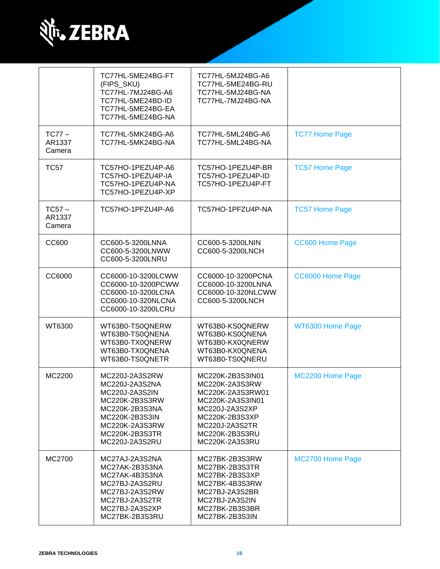

|                              | TC77HL-5ME24BG-FT<br>(FIPS_SKU)<br>TC77HL-7MJ24BG-A6<br>TC77HL-5ME24BD-ID<br>TC77HL-5ME24BG-EA<br>TC77HL-5ME24BG-NA                                            | TC77HL-5MJ24BG-A6<br>TC77HL-5ME24BG-RU<br>TC77HL-5MJ24BG-NA<br>TC77HL-7MJ24BG-NA                                                                                     |                       |
|------------------------------|----------------------------------------------------------------------------------------------------------------------------------------------------------------|----------------------------------------------------------------------------------------------------------------------------------------------------------------------|-----------------------|
| $TC77-$<br>AR1337<br>Camera  | TC77HL-5MK24BG-A6<br>TC77HL-5MK24BG-NA                                                                                                                         | TC77HL-5ML24BG-A6<br>TC77HL-5ML24BG-NA                                                                                                                               | <b>TC77 Home Page</b> |
| <b>TC57</b>                  | TC57HO-1PEZU4P-A6<br>TC57HO-1PEZU4P-IA<br>TC57HO-1PEZU4P-NA<br>TC57HO-1PEZU4P-XP                                                                               | TC57HO-1PEZU4P-BR<br>TC57HO-1PEZU4P-ID<br>TC57HO-1PEZU4P-FT                                                                                                          | <b>TC57 Home Page</b> |
| $TC57 -$<br>AR1337<br>Camera | TC57HO-1PFZU4P-A6                                                                                                                                              | TC57HO-1PFZU4P-NA                                                                                                                                                    | <b>TC57 Home Page</b> |
| CC600                        | CC600-5-3200LNNA<br>CC600-5-3200LNWW<br>CC600-5-3200LNRU                                                                                                       | CC600-5-3200LNIN<br>CC600-5-3200LNCH                                                                                                                                 | CC600 Home Page       |
| CC6000                       | CC6000-10-3200LCWW<br>CC6000-10-3200PCWW<br>CC6000-10-3200LCNA<br>CC6000-10-320NLCNA<br>CC6000-10-3200LCRU                                                     | CC6000-10-3200PCNA<br>CC6000-10-3200LNNA<br>CC6000-10-320NLCWW<br>CC600-5-3200LNCH                                                                                   | CC6000 Home Page      |
| WT6300                       | WT63B0-TS0QNERW<br>WT63B0-TS0QNENA<br>WT63B0-TX0QNERW<br>WT63B0-TX0QNENA<br>WT63B0-TS0QNETR                                                                    | WT63B0-KS0QNERW<br>WT63B0-KS0QNENA<br>WT63B0-KX0QNERW<br>WT63B0-KX0QNENA<br>WT63B0-TS0QNERU                                                                          | WT6300 Home Page      |
| MC2200                       | MC220J-2A3S2RW<br>MC220J-2A3S2NA<br>MC220J-2A3S2IN<br>MC220K-2B3S3RW<br>MC220K-2B3S3NA<br>MC220K-2B3S3IN<br>MC220K-2A3S3RW<br>MC220K-2B3S3TR<br>MC220J-2A3S2RU | MC220K-2B3S3IN01<br>MC220K-2A3S3RW<br>MC220K-2A3S3RW01<br>MC220K-2A3S3IN01<br>MC220J-2A3S2XP<br>MC220K-2B3S3XP<br>MC220J-2A3S2TR<br>MC220K-2B3S3RU<br>MC220K-2A3S3RU | MC2200 Home Page      |
| MC2700                       | MC27AJ-2A3S2NA<br>MC27AK-2B3S3NA<br>MC27AK-4B3S3NA<br>MC27BJ-2A3S2RU<br>MC27BJ-2A3S2RW<br>MC27BJ-2A3S2TR<br>MC27BJ-2A3S2XP<br>MC27BK-2B3S3RU                   | MC27BK-2B3S3RW<br>MC27BK-2B3S3TR<br>MC27BK-2B3S3XP<br>MC27BK-4B3S3RW<br>MC27BJ-2A3S2BR<br>MC27BJ-2A3S2IN<br>MC27BK-2B3S3BR<br>MC27BK-2B3S3IN                         | MC2700 Home Page      |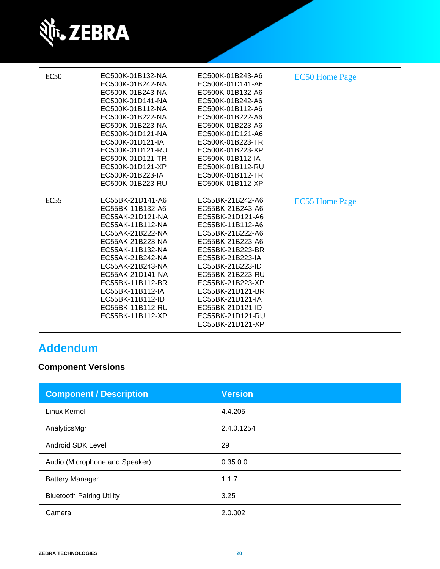

| <b>EC50</b> | EC500K-01B132-NA<br>EC500K-01B242-NA<br>EC500K-01B243-NA<br>EC500K-01D141-NA<br>EC500K-01B112-NA<br>EC500K-01B222-NA<br>EC500K-01B223-NA<br>EC500K-01D121-NA<br>EC500K-01D121-IA<br>EC500K-01D121-RU<br>EC500K-01D121-TR<br>EC500K-01D121-XP<br>EC500K-01B223-IA<br>EC500K-01B223-RU                     | EC500K-01B243-A6<br>EC500K-01D141-A6<br>EC500K-01B132-A6<br>EC500K-01B242-A6<br>EC500K-01B112-A6<br>EC500K-01B222-A6<br>EC500K-01B223-A6<br>EC500K-01D121-A6<br>EC500K-01B223-TR<br>EC500K-01B223-XP<br>EC500K-01B112-IA<br>EC500K-01B112-RU<br>EC500K-01B112-TR<br>EC500K-01B112-XP                                         | <b>EC50 Home Page</b> |
|-------------|----------------------------------------------------------------------------------------------------------------------------------------------------------------------------------------------------------------------------------------------------------------------------------------------------------|------------------------------------------------------------------------------------------------------------------------------------------------------------------------------------------------------------------------------------------------------------------------------------------------------------------------------|-----------------------|
| <b>EC55</b> | EC55BK-21D141-A6<br>EC55BK-11B132-A6<br>EC55AK-21D121-NA<br>EC55AK-11B112-NA<br>EC55AK-21B222-NA<br>EC55AK-21B223-NA<br>EC55AK-11B132-NA<br>EC55AK-21B242-NA<br>EC55AK-21B243-NA<br>EC55AK-21D141-NA<br>EC55BK-11B112-BR<br>EC55BK-11B112-IA<br>EC55BK-11B112-ID<br>EC55BK-11B112-RU<br>EC55BK-11B112-XP | EC55BK-21B242-A6<br>EC55BK-21B243-A6<br>EC55BK-21D121-A6<br>EC55BK-11B112-A6<br>EC55BK-21B222-A6<br>EC55BK-21B223-A6<br>EC55BK-21B223-BR<br>EC55BK-21B223-IA<br>EC55BK-21B223-ID<br>EC55BK-21B223-RU<br>EC55BK-21B223-XP<br>EC55BK-21D121-BR<br>EC55BK-21D121-IA<br>EC55BK-21D121-ID<br>EC55BK-21D121-RU<br>EC55BK-21D121-XP | <b>EC55 Home Page</b> |

# **Addendum**

## **Component Versions**

| <b>Component / Description</b>   | <b>Version</b> |
|----------------------------------|----------------|
| Linux Kernel                     | 4.4.205        |
| AnalyticsMgr                     | 2.4.0.1254     |
| Android SDK Level                | 29             |
| Audio (Microphone and Speaker)   | 0.35.0.0       |
| <b>Battery Manager</b>           | 1.1.7          |
| <b>Bluetooth Pairing Utility</b> | 3.25           |
| Camera                           | 2.0.002        |